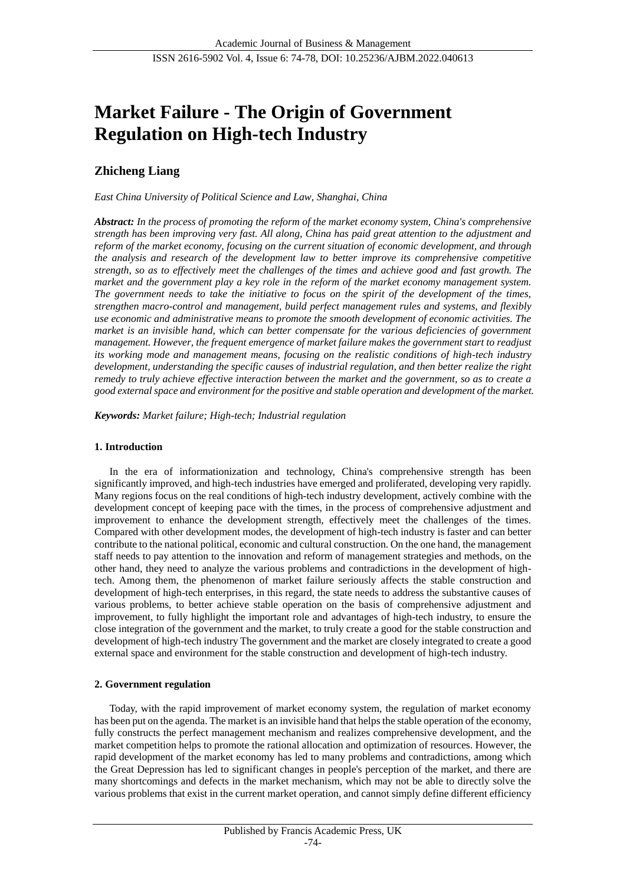# **Market Failure - The Origin of Government Regulation on High-tech Industry**

# **Zhicheng Liang**

*East China University of Political Science and Law, Shanghai, China*

*Abstract: In the process of promoting the reform of the market economy system, China's comprehensive strength has been improving very fast. All along, China has paid great attention to the adjustment and reform of the market economy, focusing on the current situation of economic development, and through the analysis and research of the development law to better improve its comprehensive competitive strength, so as to effectively meet the challenges of the times and achieve good and fast growth. The market and the government play a key role in the reform of the market economy management system. The government needs to take the initiative to focus on the spirit of the development of the times, strengthen macro-control and management, build perfect management rules and systems, and flexibly use economic and administrative means to promote the smooth development of economic activities. The market is an invisible hand, which can better compensate for the various deficiencies of government management. However, the frequent emergence of market failure makes the government start to readjust its working mode and management means, focusing on the realistic conditions of high-tech industry development, understanding the specific causes of industrial regulation, and then better realize the right remedy to truly achieve effective interaction between the market and the government, so as to create a good external space and environment for the positive and stable operation and development of the market.*

*Keywords: Market failure; High-tech; Industrial regulation*

# **1. Introduction**

In the era of informationization and technology, China's comprehensive strength has been significantly improved, and high-tech industries have emerged and proliferated, developing very rapidly. Many regions focus on the real conditions of high-tech industry development, actively combine with the development concept of keeping pace with the times, in the process of comprehensive adjustment and improvement to enhance the development strength, effectively meet the challenges of the times. Compared with other development modes, the development of high-tech industry is faster and can better contribute to the national political, economic and cultural construction. On the one hand, the management staff needs to pay attention to the innovation and reform of management strategies and methods, on the other hand, they need to analyze the various problems and contradictions in the development of hightech. Among them, the phenomenon of market failure seriously affects the stable construction and development of high-tech enterprises, in this regard, the state needs to address the substantive causes of various problems, to better achieve stable operation on the basis of comprehensive adjustment and improvement, to fully highlight the important role and advantages of high-tech industry, to ensure the close integration of the government and the market, to truly create a good for the stable construction and development of high-tech industry The government and the market are closely integrated to create a good external space and environment for the stable construction and development of high-tech industry.

# **2. Government regulation**

Today, with the rapid improvement of market economy system, the regulation of market economy has been put on the agenda. The market is an invisible hand that helps the stable operation of the economy, fully constructs the perfect management mechanism and realizes comprehensive development, and the market competition helps to promote the rational allocation and optimization of resources. However, the rapid development of the market economy has led to many problems and contradictions, among which the Great Depression has led to significant changes in people's perception of the market, and there are many shortcomings and defects in the market mechanism, which may not be able to directly solve the various problems that exist in the current market operation, and cannot simply define different efficiency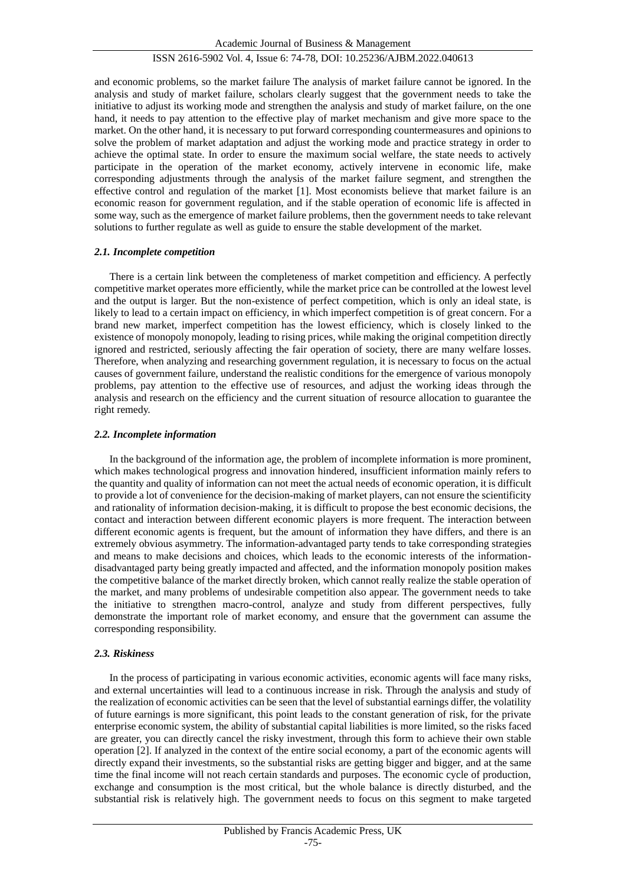and economic problems, so the market failure The analysis of market failure cannot be ignored. In the analysis and study of market failure, scholars clearly suggest that the government needs to take the initiative to adjust its working mode and strengthen the analysis and study of market failure, on the one hand, it needs to pay attention to the effective play of market mechanism and give more space to the market. On the other hand, it is necessary to put forward corresponding countermeasures and opinions to solve the problem of market adaptation and adjust the working mode and practice strategy in order to achieve the optimal state. In order to ensure the maximum social welfare, the state needs to actively participate in the operation of the market economy, actively intervene in economic life, make corresponding adjustments through the analysis of the market failure segment, and strengthen the effective control and regulation of the market [1]. Most economists believe that market failure is an economic reason for government regulation, and if the stable operation of economic life is affected in some way, such as the emergence of market failure problems, then the government needs to take relevant solutions to further regulate as well as guide to ensure the stable development of the market.

#### *2.1. Incomplete competition*

There is a certain link between the completeness of market competition and efficiency. A perfectly competitive market operates more efficiently, while the market price can be controlled at the lowest level and the output is larger. But the non-existence of perfect competition, which is only an ideal state, is likely to lead to a certain impact on efficiency, in which imperfect competition is of great concern. For a brand new market, imperfect competition has the lowest efficiency, which is closely linked to the existence of monopoly monopoly, leading to rising prices, while making the original competition directly ignored and restricted, seriously affecting the fair operation of society, there are many welfare losses. Therefore, when analyzing and researching government regulation, it is necessary to focus on the actual causes of government failure, understand the realistic conditions for the emergence of various monopoly problems, pay attention to the effective use of resources, and adjust the working ideas through the analysis and research on the efficiency and the current situation of resource allocation to guarantee the right remedy.

#### *2.2. Incomplete information*

In the background of the information age, the problem of incomplete information is more prominent, which makes technological progress and innovation hindered, insufficient information mainly refers to the quantity and quality of information can not meet the actual needs of economic operation, it is difficult to provide a lot of convenience for the decision-making of market players, can not ensure the scientificity and rationality of information decision-making, it is difficult to propose the best economic decisions, the contact and interaction between different economic players is more frequent. The interaction between different economic agents is frequent, but the amount of information they have differs, and there is an extremely obvious asymmetry. The information-advantaged party tends to take corresponding strategies and means to make decisions and choices, which leads to the economic interests of the informationdisadvantaged party being greatly impacted and affected, and the information monopoly position makes the competitive balance of the market directly broken, which cannot really realize the stable operation of the market, and many problems of undesirable competition also appear. The government needs to take the initiative to strengthen macro-control, analyze and study from different perspectives, fully demonstrate the important role of market economy, and ensure that the government can assume the corresponding responsibility.

#### *2.3. Riskiness*

In the process of participating in various economic activities, economic agents will face many risks, and external uncertainties will lead to a continuous increase in risk. Through the analysis and study of the realization of economic activities can be seen that the level of substantial earnings differ, the volatility of future earnings is more significant, this point leads to the constant generation of risk, for the private enterprise economic system, the ability of substantial capital liabilities is more limited, so the risks faced are greater, you can directly cancel the risky investment, through this form to achieve their own stable operation [2]. If analyzed in the context of the entire social economy, a part of the economic agents will directly expand their investments, so the substantial risks are getting bigger and bigger, and at the same time the final income will not reach certain standards and purposes. The economic cycle of production, exchange and consumption is the most critical, but the whole balance is directly disturbed, and the substantial risk is relatively high. The government needs to focus on this segment to make targeted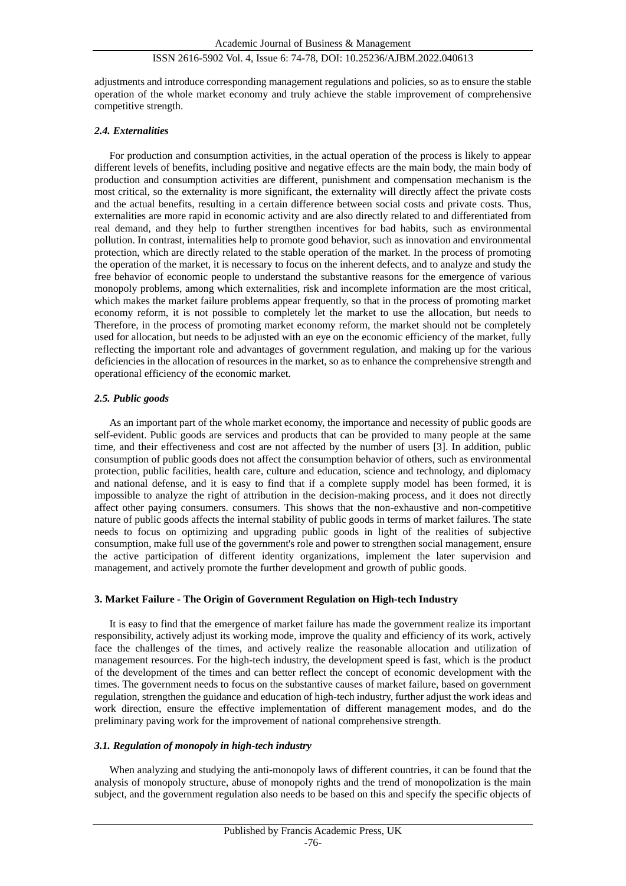adjustments and introduce corresponding management regulations and policies, so as to ensure the stable operation of the whole market economy and truly achieve the stable improvement of comprehensive competitive strength.

#### *2.4. Externalities*

For production and consumption activities, in the actual operation of the process is likely to appear different levels of benefits, including positive and negative effects are the main body, the main body of production and consumption activities are different, punishment and compensation mechanism is the most critical, so the externality is more significant, the externality will directly affect the private costs and the actual benefits, resulting in a certain difference between social costs and private costs. Thus, externalities are more rapid in economic activity and are also directly related to and differentiated from real demand, and they help to further strengthen incentives for bad habits, such as environmental pollution. In contrast, internalities help to promote good behavior, such as innovation and environmental protection, which are directly related to the stable operation of the market. In the process of promoting the operation of the market, it is necessary to focus on the inherent defects, and to analyze and study the free behavior of economic people to understand the substantive reasons for the emergence of various monopoly problems, among which externalities, risk and incomplete information are the most critical, which makes the market failure problems appear frequently, so that in the process of promoting market economy reform, it is not possible to completely let the market to use the allocation, but needs to Therefore, in the process of promoting market economy reform, the market should not be completely used for allocation, but needs to be adjusted with an eye on the economic efficiency of the market, fully reflecting the important role and advantages of government regulation, and making up for the various deficiencies in the allocation of resources in the market, so as to enhance the comprehensive strength and operational efficiency of the economic market.

#### *2.5. Public goods*

As an important part of the whole market economy, the importance and necessity of public goods are self-evident. Public goods are services and products that can be provided to many people at the same time, and their effectiveness and cost are not affected by the number of users [3]. In addition, public consumption of public goods does not affect the consumption behavior of others, such as environmental protection, public facilities, health care, culture and education, science and technology, and diplomacy and national defense, and it is easy to find that if a complete supply model has been formed, it is impossible to analyze the right of attribution in the decision-making process, and it does not directly affect other paying consumers. consumers. This shows that the non-exhaustive and non-competitive nature of public goods affects the internal stability of public goods in terms of market failures. The state needs to focus on optimizing and upgrading public goods in light of the realities of subjective consumption, make full use of the government's role and power to strengthen social management, ensure the active participation of different identity organizations, implement the later supervision and management, and actively promote the further development and growth of public goods.

# **3. Market Failure - The Origin of Government Regulation on High-tech Industry**

It is easy to find that the emergence of market failure has made the government realize its important responsibility, actively adjust its working mode, improve the quality and efficiency of its work, actively face the challenges of the times, and actively realize the reasonable allocation and utilization of management resources. For the high-tech industry, the development speed is fast, which is the product of the development of the times and can better reflect the concept of economic development with the times. The government needs to focus on the substantive causes of market failure, based on government regulation, strengthen the guidance and education of high-tech industry, further adjust the work ideas and work direction, ensure the effective implementation of different management modes, and do the preliminary paving work for the improvement of national comprehensive strength.

### *3.1. Regulation of monopoly in high-tech industry*

When analyzing and studying the anti-monopoly laws of different countries, it can be found that the analysis of monopoly structure, abuse of monopoly rights and the trend of monopolization is the main subject, and the government regulation also needs to be based on this and specify the specific objects of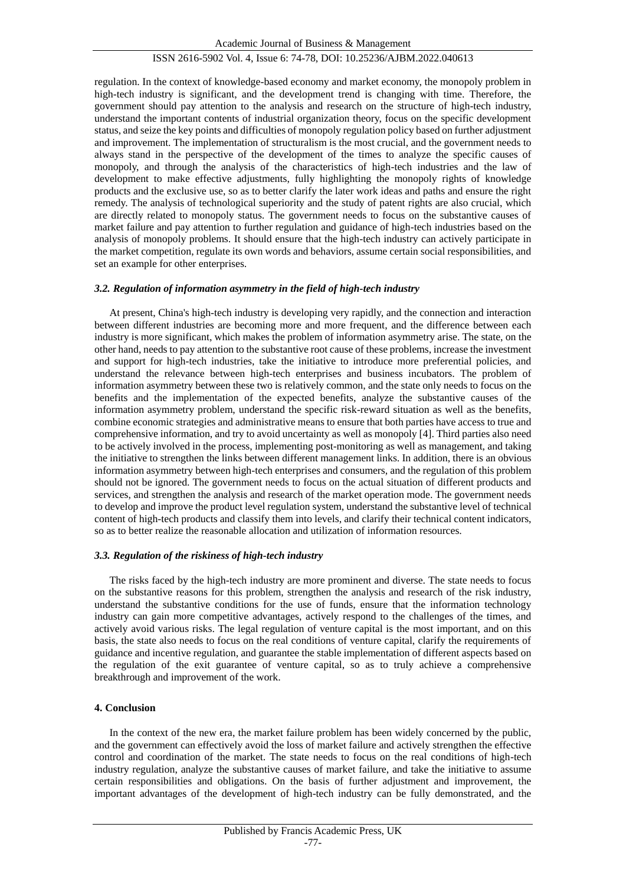regulation. In the context of knowledge-based economy and market economy, the monopoly problem in high-tech industry is significant, and the development trend is changing with time. Therefore, the government should pay attention to the analysis and research on the structure of high-tech industry, understand the important contents of industrial organization theory, focus on the specific development status, and seize the key points and difficulties of monopoly regulation policy based on further adjustment and improvement. The implementation of structuralism is the most crucial, and the government needs to always stand in the perspective of the development of the times to analyze the specific causes of monopoly, and through the analysis of the characteristics of high-tech industries and the law of development to make effective adjustments, fully highlighting the monopoly rights of knowledge products and the exclusive use, so as to better clarify the later work ideas and paths and ensure the right remedy. The analysis of technological superiority and the study of patent rights are also crucial, which are directly related to monopoly status. The government needs to focus on the substantive causes of market failure and pay attention to further regulation and guidance of high-tech industries based on the analysis of monopoly problems. It should ensure that the high-tech industry can actively participate in the market competition, regulate its own words and behaviors, assume certain social responsibilities, and set an example for other enterprises.

#### *3.2. Regulation of information asymmetry in the field of high-tech industry*

At present, China's high-tech industry is developing very rapidly, and the connection and interaction between different industries are becoming more and more frequent, and the difference between each industry is more significant, which makes the problem of information asymmetry arise. The state, on the other hand, needs to pay attention to the substantive root cause of these problems, increase the investment and support for high-tech industries, take the initiative to introduce more preferential policies, and understand the relevance between high-tech enterprises and business incubators. The problem of information asymmetry between these two is relatively common, and the state only needs to focus on the benefits and the implementation of the expected benefits, analyze the substantive causes of the information asymmetry problem, understand the specific risk-reward situation as well as the benefits, combine economic strategies and administrative means to ensure that both parties have access to true and comprehensive information, and try to avoid uncertainty as well as monopoly [4]. Third parties also need to be actively involved in the process, implementing post-monitoring as well as management, and taking the initiative to strengthen the links between different management links. In addition, there is an obvious information asymmetry between high-tech enterprises and consumers, and the regulation of this problem should not be ignored. The government needs to focus on the actual situation of different products and services, and strengthen the analysis and research of the market operation mode. The government needs to develop and improve the product level regulation system, understand the substantive level of technical content of high-tech products and classify them into levels, and clarify their technical content indicators, so as to better realize the reasonable allocation and utilization of information resources.

#### *3.3. Regulation of the riskiness of high-tech industry*

The risks faced by the high-tech industry are more prominent and diverse. The state needs to focus on the substantive reasons for this problem, strengthen the analysis and research of the risk industry, understand the substantive conditions for the use of funds, ensure that the information technology industry can gain more competitive advantages, actively respond to the challenges of the times, and actively avoid various risks. The legal regulation of venture capital is the most important, and on this basis, the state also needs to focus on the real conditions of venture capital, clarify the requirements of guidance and incentive regulation, and guarantee the stable implementation of different aspects based on the regulation of the exit guarantee of venture capital, so as to truly achieve a comprehensive breakthrough and improvement of the work.

#### **4. Conclusion**

In the context of the new era, the market failure problem has been widely concerned by the public, and the government can effectively avoid the loss of market failure and actively strengthen the effective control and coordination of the market. The state needs to focus on the real conditions of high-tech industry regulation, analyze the substantive causes of market failure, and take the initiative to assume certain responsibilities and obligations. On the basis of further adjustment and improvement, the important advantages of the development of high-tech industry can be fully demonstrated, and the